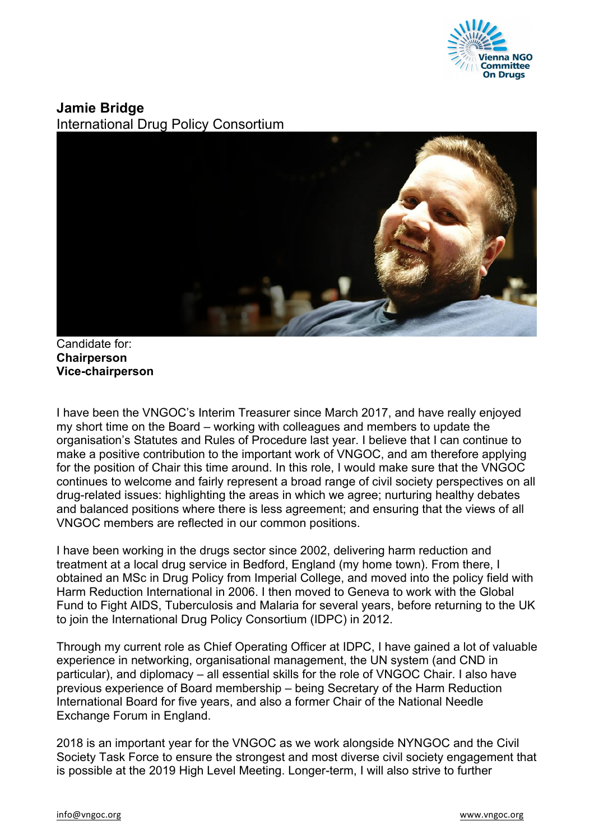

## **Jamie Bridge** International Drug Policy Consortium



Candidate for: **Chairperson Vice-chairperson**

I have been the VNGOC's Interim Treasurer since March 2017, and have really enjoyed my short time on the Board – working with colleagues and members to update the organisation's Statutes and Rules of Procedure last year. I believe that I can continue to make a positive contribution to the important work of VNGOC, and am therefore applying for the position of Chair this time around. In this role, I would make sure that the VNGOC continues to welcome and fairly represent a broad range of civil society perspectives on all drug-related issues: highlighting the areas in which we agree; nurturing healthy debates and balanced positions where there is less agreement; and ensuring that the views of all VNGOC members are reflected in our common positions.

I have been working in the drugs sector since 2002, delivering harm reduction and treatment at a local drug service in Bedford, England (my home town). From there, I obtained an MSc in Drug Policy from Imperial College, and moved into the policy field with Harm Reduction International in 2006. I then moved to Geneva to work with the Global Fund to Fight AIDS, Tuberculosis and Malaria for several years, before returning to the UK to join the International Drug Policy Consortium (IDPC) in 2012.

Through my current role as Chief Operating Officer at IDPC, I have gained a lot of valuable experience in networking, organisational management, the UN system (and CND in particular), and diplomacy – all essential skills for the role of VNGOC Chair. I also have previous experience of Board membership – being Secretary of the Harm Reduction International Board for five years, and also a former Chair of the National Needle Exchange Forum in England.

2018 is an important year for the VNGOC as we work alongside NYNGOC and the Civil Society Task Force to ensure the strongest and most diverse civil society engagement that is possible at the 2019 High Level Meeting. Longer-term, I will also strive to further